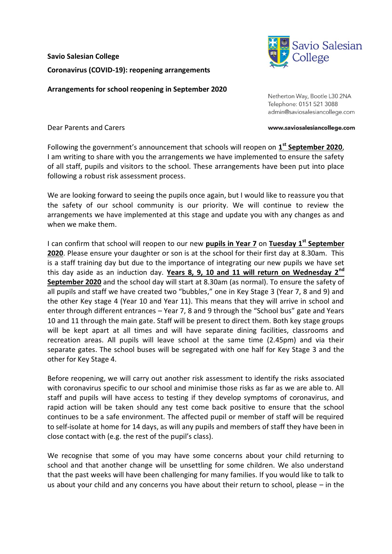**Savio Salesian College Coronavirus (COVID-19): reopening arrangements**

**Arrangements for school reopening in September 2020**

Netherton Way, Bootle L30 2NA Telephone: 0151 521 3088 admin@saviosalesiancollege.com

Dear Parents and Carers

Following the government's announcement that schools will reopen on **1 st September 2020**, I am writing to share with you the arrangements we have implemented to ensure the safety of all staff, pupils and visitors to the school. These arrangements have been put into place following a robust risk assessment process.

We are looking forward to seeing the pupils once again, but I would like to reassure you that the safety of our school community is our priority. We will continue to review the arrangements we have implemented at this stage and update you with any changes as and when we make them.

I can confirm that school will reopen to our new **pupils in Year 7** on **Tuesday 1st September 2020**. Please ensure your daughter or son is at the school for their first day at 8.30am. This is a staff training day but due to the importance of integrating our new pupils we have set this day aside as an induction day. **Years 8, 9, 10 and 11 will return on Wednesday 2nd September 2020** and the school day will start at 8.30am (as normal). To ensure the safety of all pupils and staff we have created two "bubbles," one in Key Stage 3 (Year 7, 8 and 9) and the other Key stage 4 (Year 10 and Year 11). This means that they will arrive in school and enter through different entrances – Year 7, 8 and 9 through the "School bus" gate and Years 10 and 11 through the main gate. Staff will be present to direct them. Both key stage groups will be kept apart at all times and will have separate dining facilities, classrooms and recreation areas. All pupils will leave school at the same time (2.45pm) and via their separate gates. The school buses will be segregated with one half for Key Stage 3 and the other for Key Stage 4.

Before reopening, we will carry out another risk assessment to identify the risks associated with coronavirus specific to our school and minimise those risks as far as we are able to. All staff and pupils will have access to testing if they develop symptoms of coronavirus, and rapid action will be taken should any test come back positive to ensure that the school continues to be a safe environment. The affected pupil or member of staff will be required to self-isolate at home for 14 days, as will any pupils and members of staff they have been in close contact with (e.g. the rest of the pupil's class).

We recognise that some of you may have some concerns about your child returning to school and that another change will be unsettling for some children. We also understand that the past weeks will have been challenging for many families. If you would like to talk to us about your child and any concerns you have about their return to school, please – in the



www.saviosalesiancollege.com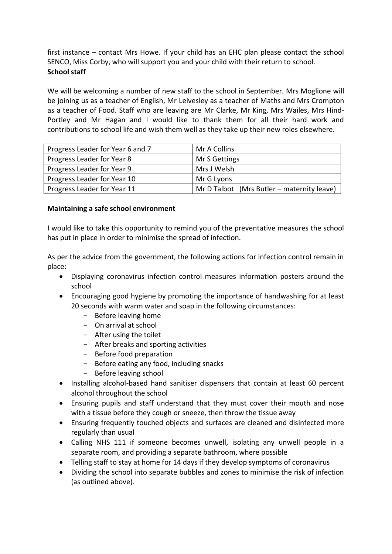first instance – contact Mrs Howe. If your child has an EHC plan please contact the school SENCO, Miss Corby, who will support you and your child with their return to school. **School staff**

We will be welcoming a number of new staff to the school in September. Mrs Moglione will be joining us as a teacher of English, Mr Leivesley as a teacher of Maths and Mrs Crompton as a teacher of Food. Staff who are leaving are Mr Clarke, Mr King, Mrs Wailes, Mrs Hind-Portley and Mr Hagan and I would like to thank them for all their hard work and contributions to school life and wish them well as they take up their new roles elsewhere.

| Progress Leader for Year 6 and 7 | Mr A Collins                               |
|----------------------------------|--------------------------------------------|
| Progress Leader for Year 8       | Mr S Gettings                              |
| Progress Leader for Year 9       | Mrs J Welsh                                |
| Progress Leader for Year 10      | Mr G Lyons                                 |
| Progress Leader for Year 11      | Mr D Talbot (Mrs Butler – maternity leave) |

#### **Maintaining a safe school environment**

I would like to take this opportunity to remind you of the preventative measures the school has put in place in order to minimise the spread of infection.

As per the advice from the government, the following actions for infection control remain in place:

- Displaying coronavirus infection control measures information posters around the school
- Encouraging good hygiene by promoting the importance of handwashing for at least 20 seconds with warm water and soap in the following circumstances:
	- Before leaving home
	- On arrival at school
	- After using the toilet
	- After breaks and sporting activities
	- Before food preparation
	- Before eating any food, including snacks
	- Before leaving school
- Installing alcohol-based hand sanitiser dispensers that contain at least 60 percent alcohol throughout the school
- Ensuring pupils and staff understand that they must cover their mouth and nose with a tissue before they cough or sneeze, then throw the tissue away
- Ensuring frequently touched objects and surfaces are cleaned and disinfected more regularly than usual
- Calling NHS 111 if someone becomes unwell, isolating any unwell people in a separate room, and providing a separate bathroom, where possible
- Telling staff to stay at home for 14 days if they develop symptoms of coronavirus
- Dividing the school into separate bubbles and zones to minimise the risk of infection (as outlined above).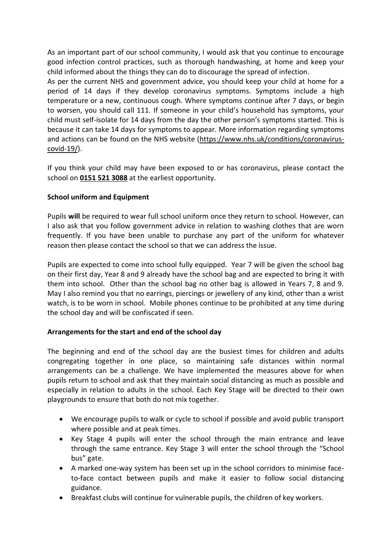As an important part of our school community, I would ask that you continue to encourage good infection control practices, such as thorough handwashing, at home and keep your child informed about the things they can do to discourage the spread of infection.

As per the current NHS and government advice, you should keep your child at home for a period of 14 days if they develop coronavirus symptoms. Symptoms include a high temperature or a new, continuous cough. Where symptoms continue after 7 days, or begin to worsen, you should call 111. If someone in your child's household has symptoms, your child must self-isolate for 14 days from the day the other person's symptoms started. This is because it can take 14 days for symptoms to appear. More information regarding symptoms and actions can be found on the NHS website [\(https://www.nhs.uk/conditions/coronavirus](https://www.nhs.uk/conditions/coronavirus-covid-19/)[covid-19/\)](https://www.nhs.uk/conditions/coronavirus-covid-19/).

If you think your child may have been exposed to or has coronavirus, please contact the school on **0151 521 3088** at the earliest opportunity.

# **School uniform and Equipment**

Pupils **will** be required to wear full school uniform once they return to school. However, can I also ask that you follow government advice in relation to washing clothes that are worn frequently. If you have been unable to purchase any part of the uniform for whatever reason then please contact the school so that we can address the issue.

Pupils are expected to come into school fully equipped. Year 7 will be given the school bag on their first day, Year 8 and 9 already have the school bag and are expected to bring it with them into school. Other than the school bag no other bag is allowed in Years 7, 8 and 9. May I also remind you that no earrings, piercings or jewellery of any kind, other than a wrist watch, is to be worn in school. Mobile phones continue to be prohibited at any time during the school day and will be confiscated if seen.

# **Arrangements for the start and end of the school day**

The beginning and end of the school day are the busiest times for children and adults congregating together in one place, so maintaining safe distances within normal arrangements can be a challenge. We have implemented the measures above for when pupils return to school and ask that they maintain social distancing as much as possible and especially in relation to adults in the school. Each Key Stage will be directed to their own playgrounds to ensure that both do not mix together.

- We encourage pupils to walk or cycle to school if possible and avoid public transport where possible and at peak times.
- Key Stage 4 pupils will enter the school through the main entrance and leave through the same entrance. Key Stage 3 will enter the school through the "School bus" gate.
- A marked one-way system has been set up in the school corridors to minimise faceto-face contact between pupils and make it easier to follow social distancing guidance.
- Breakfast clubs will continue for vulnerable pupils, the children of key workers.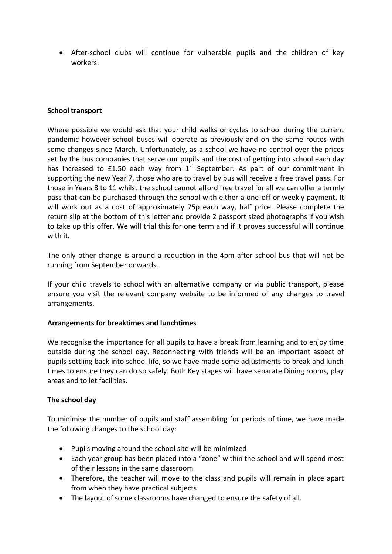After-school clubs will continue for vulnerable pupils and the children of key workers.

### **School transport**

Where possible we would ask that your child walks or cycles to school during the current pandemic however school buses will operate as previously and on the same routes with some changes since March. Unfortunately, as a school we have no control over the prices set by the bus companies that serve our pupils and the cost of getting into school each day has increased to £1.50 each way from  $1<sup>st</sup>$  September. As part of our commitment in supporting the new Year 7, those who are to travel by bus will receive a free travel pass. For those in Years 8 to 11 whilst the school cannot afford free travel for all we can offer a termly pass that can be purchased through the school with either a one-off or weekly payment. It will work out as a cost of approximately 75p each way, half price. Please complete the return slip at the bottom of this letter and provide 2 passport sized photographs if you wish to take up this offer. We will trial this for one term and if it proves successful will continue with it.

The only other change is around a reduction in the 4pm after school bus that will not be running from September onwards.

If your child travels to school with an alternative company or via public transport, please ensure you visit the relevant company website to be informed of any changes to travel arrangements.

#### **Arrangements for breaktimes and lunchtimes**

We recognise the importance for all pupils to have a break from learning and to enjoy time outside during the school day. Reconnecting with friends will be an important aspect of pupils settling back into school life, so we have made some adjustments to break and lunch times to ensure they can do so safely. Both Key stages will have separate Dining rooms, play areas and toilet facilities.

#### **The school day**

To minimise the number of pupils and staff assembling for periods of time, we have made the following changes to the school day:

- Pupils moving around the school site will be minimized
- Each year group has been placed into a "zone" within the school and will spend most of their lessons in the same classroom
- Therefore, the teacher will move to the class and pupils will remain in place apart from when they have practical subjects
- The layout of some classrooms have changed to ensure the safety of all.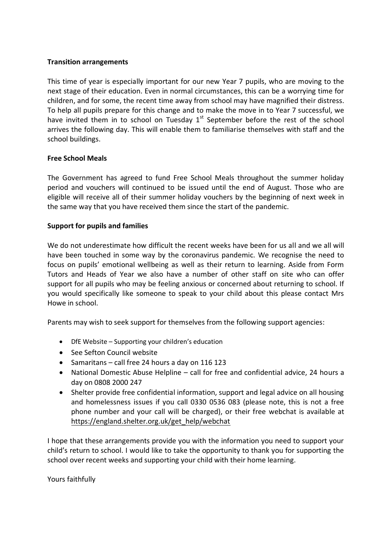## **Transition arrangements**

This time of year is especially important for our new Year 7 pupils, who are moving to the next stage of their education. Even in normal circumstances, this can be a worrying time for children, and for some, the recent time away from school may have magnified their distress. To help all pupils prepare for this change and to make the move in to Year 7 successful, we have invited them in to school on Tuesday  $1<sup>st</sup>$  September before the rest of the school arrives the following day. This will enable them to familiarise themselves with staff and the school buildings.

## **Free School Meals**

The Government has agreed to fund Free School Meals throughout the summer holiday period and vouchers will continued to be issued until the end of August. Those who are eligible will receive all of their summer holiday vouchers by the beginning of next week in the same way that you have received them since the start of the pandemic.

## **Support for pupils and families**

We do not underestimate how difficult the recent weeks have been for us all and we all will have been touched in some way by the coronavirus pandemic. We recognise the need to focus on pupils' emotional wellbeing as well as their return to learning. Aside from Form Tutors and Heads of Year we also have a number of other staff on site who can offer support for all pupils who may be feeling anxious or concerned about returning to school. If you would specifically like someone to speak to your child about this please contact Mrs Howe in school.

Parents may wish to seek support for themselves from the following support agencies:

- DfE Website Supporting your children's education
- See Sefton Council website
- Samaritans call free 24 hours a day on 116 123
- National Domestic Abuse Helpline call for free and confidential advice, 24 hours a day on 0808 2000 247
- Shelter provide free confidential information, support and legal advice on all housing and homelessness issues if you call 0330 0536 083 (please note, this is not a free phone number and your call will be charged), or their free webchat is available at [https://england.shelter.org.uk/get\\_help/webchat](https://england.shelter.org.uk/get_help/webchat)

I hope that these arrangements provide you with the information you need to support your child's return to school. I would like to take the opportunity to thank you for supporting the school over recent weeks and supporting your child with their home learning.

Yours faithfully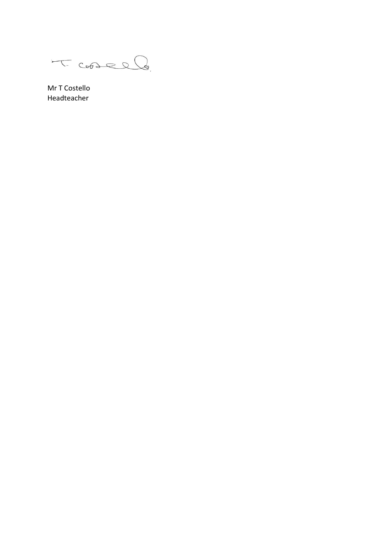T-Cooselle

Mr T Costello Headteacher